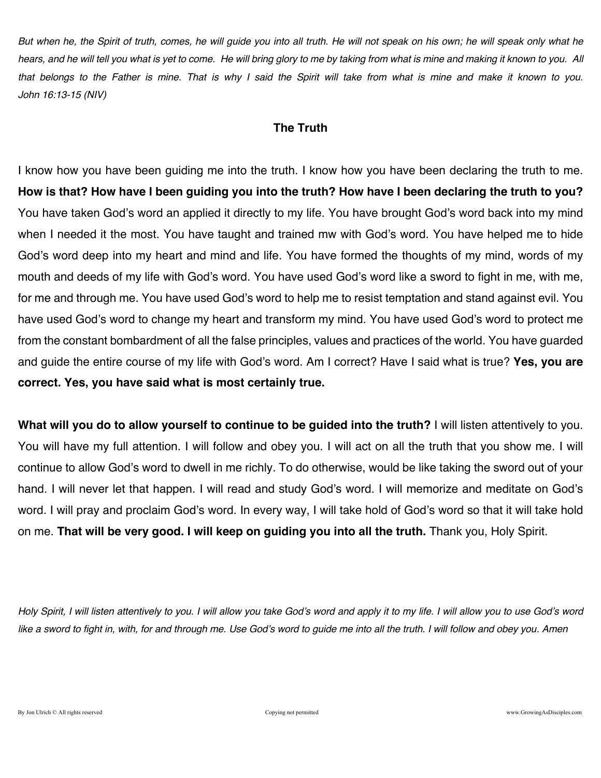*But when he, the Spirit of truth, comes, he will guide you into all truth. He will not speak on his own; he will speak only what he hears, and he will tell you what is yet to come. He will bring glory to me by taking from what is mine and making it known to you. All that belongs to the Father is mine. That is why I said the Spirit will take from what is mine and make it known to you. John 16:13-15 (NIV)* 

### **The Truth**

I know how you have been guiding me into the truth. I know how you have been declaring the truth to me. **How is that? How have I been guiding you into the truth? How have I been declaring the truth to you?**  You have taken God's word an applied it directly to my life. You have brought God's word back into my mind when I needed it the most. You have taught and trained mw with God's word. You have helped me to hide God's word deep into my heart and mind and life. You have formed the thoughts of my mind, words of my mouth and deeds of my life with God's word. You have used God's word like a sword to fight in me, with me, for me and through me. You have used God's word to help me to resist temptation and stand against evil. You have used God's word to change my heart and transform my mind. You have used God's word to protect me from the constant bombardment of all the false principles, values and practices of the world. You have guarded and guide the entire course of my life with God's word. Am I correct? Have I said what is true? **Yes, you are correct. Yes, you have said what is most certainly true.**

**What will you do to allow yourself to continue to be guided into the truth?** I will listen attentively to you. You will have my full attention. I will follow and obey you. I will act on all the truth that you show me. I will continue to allow God's word to dwell in me richly. To do otherwise, would be like taking the sword out of your hand. I will never let that happen. I will read and study God's word. I will memorize and meditate on God's word. I will pray and proclaim God's word. In every way, I will take hold of God's word so that it will take hold on me. **That will be very good. I will keep on guiding you into all the truth.** Thank you, Holy Spirit.

*Holy Spirit, I will listen attentively to you. I will allow you take God's word and apply it to my life. I will allow you to use God's word like a sword to fight in, with, for and through me. Use God's word to guide me into all the truth. I will follow and obey you. Amen*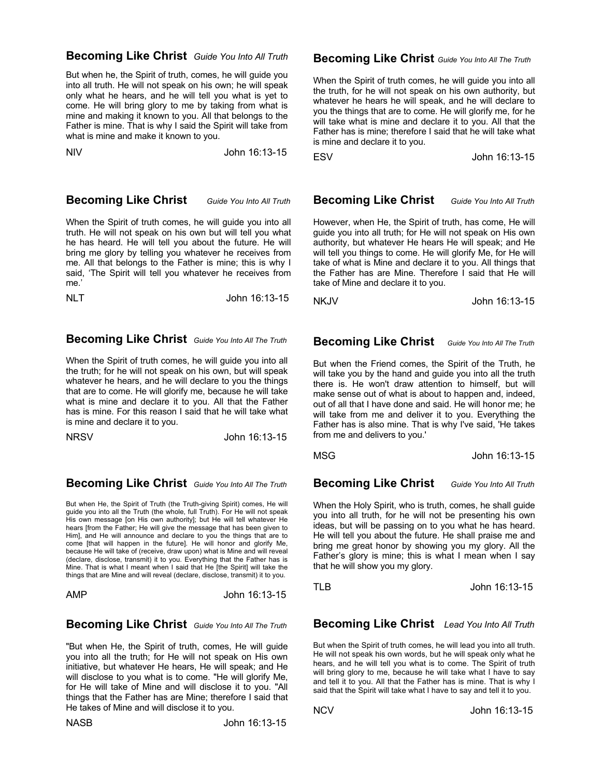### **Becoming Like Christ** *Guide You Into All Truth*

But when he, the Spirit of truth, comes, he will guide you into all truth. He will not speak on his own; he will speak only what he hears, and he will tell you what is yet to come. He will bring glory to me by taking from what is mine and making it known to you. All that belongs to the Father is mine. That is why I said the Spirit will take from what is mine and make it known to you.

NIV John 16:13-15

### **Becoming Like Christ** *Guide You Into All Truth*

When the Spirit of truth comes, he will guide you into all truth. He will not speak on his own but will tell you what he has heard. He will tell you about the future. He will bring me glory by telling you whatever he receives from me. All that belongs to the Father is mine; this is why I said, 'The Spirit will tell you whatever he receives from me.'

NLT John 16:13-15

### **Becoming Like Christ** *Guide You Into All The Truth*

When the Spirit of truth comes, he will guide you into all the truth; for he will not speak on his own, but will speak whatever he hears, and he will declare to you the things that are to come. He will glorify me, because he will take what is mine and declare it to you. All that the Father has is mine. For this reason I said that he will take what is mine and declare it to you.

NRSVJohn 16:13-15

### **Becoming Like Christ** *Guide You Into All The Truth*

But when He, the Spirit of Truth (the Truth-giving Spirit) comes, He will guide you into all the Truth (the whole, full Truth). For He will not speak His own message [on His own authority]; but He will tell whatever He hears [from the Father; He will give the message that has been given to Him], and He will announce and declare to you the things that are to come [that will happen in the future]. He will honor and glorify Me, because He will take of (receive, draw upon) what is Mine and will reveal (declare, disclose, transmit) it to you. Everything that the Father has is Mine. That is what I meant when I said that He [the Spirit] will take the things that are Mine and will reveal (declare, disclose, transmit) it to you.

AMP John 16:13-15

### **Becoming Like Christ** *Guide You Into All The Truth*

"But when He, the Spirit of truth, comes, He will guide you into all the truth; for He will not speak on His own initiative, but whatever He hears, He will speak; and He will disclose to you what is to come. "He will glorify Me, for He will take of Mine and will disclose it to you. "All things that the Father has are Mine; therefore I said that He takes of Mine and will disclose it to you.

### **Becoming Like Christ** *Guide You Into All The Truth*

When the Spirit of truth comes, he will guide you into all the truth, for he will not speak on his own authority, but whatever he hears he will speak, and he will declare to you the things that are to come. He will glorify me, for he will take what is mine and declare it to you. All that the Father has is mine; therefore I said that he will take what is mine and declare it to you.

ESV John 16:13-15

### **Becoming Like Christ** *Guide You Into All Truth*

However, when He, the Spirit of truth, has come, He will guide you into all truth; for He will not speak on His own authority, but whatever He hears He will speak; and He will tell you things to come. He will glorify Me, for He will take of what is Mine and declare it to you. All things that the Father has are Mine. Therefore I said that He will take of Mine and declare it to you.

NKJV John 16:13-15

**Becoming Like Christ** *Guide You Into All The Truth*

But when the Friend comes, the Spirit of the Truth, he will take you by the hand and guide you into all the truth there is. He won't draw attention to himself, but will make sense out of what is about to happen and, indeed, out of all that I have done and said. He will honor me; he will take from me and deliver it to you. Everything the Father has is also mine. That is why I've said, 'He takes from me and delivers to you.'

MSG John 16:13-15

### **Becoming Like Christ** *Guide You Into All Truth*

When the Holy Spirit, who is truth, comes, he shall guide you into all truth, for he will not be presenting his own ideas, but will be passing on to you what he has heard. He will tell you about the future. He shall praise me and bring me great honor by showing you my glory. All the Father's glory is mine; this is what I mean when I say that he will show you my glory.

TLB John 16:13-15

### **Becoming Like Christ** *Lead You Into All Truth*

But when the Spirit of truth comes, he will lead you into all truth. He will not speak his own words, but he will speak only what he hears, and he will tell you what is to come. The Spirit of truth will bring glory to me, because he will take what I have to say and tell it to you. All that the Father has is mine. That is why I said that the Spirit will take what I have to say and tell it to you.

NCVJohn 16:13-15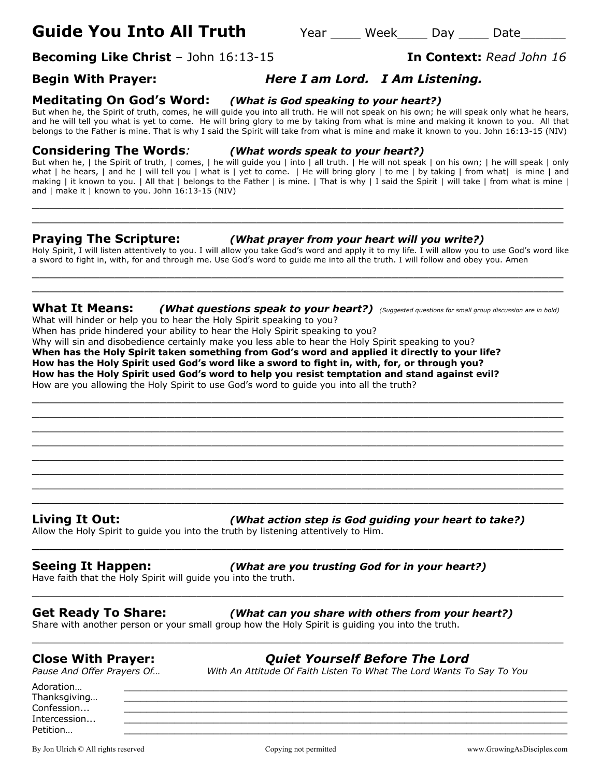# **Guide You Into All Truth** Year Week Day Date

**Becoming Like Christ** – John 16:13-15 **In Context:** *Read John 16*

## **Begin With Prayer:** *Here I am Lord. I Am Listening.*

**Meditating On God's Word:** *(What is God speaking to your heart?)*

But when he, the Spirit of truth, comes, he will guide you into all truth. He will not speak on his own; he will speak only what he hears, and he will tell you what is yet to come. He will bring glory to me by taking from what is mine and making it known to you. All that belongs to the Father is mine. That is why I said the Spirit will take from what is mine and make it known to you. John 16:13-15 (NIV)

**Considering The Words***: (What words speak to your heart?)*

But when he, | the Spirit of truth, | comes, | he will guide you | into | all truth. | He will not speak | on his own; | he will speak | only what | he hears, | and he | will tell you | what is | yet to come. | He will bring glory | to me | by taking | from what| is mine | and making | it known to you. | All that | belongs to the Father | is mine. | That is why | I said the Spirit | will take | from what is mine | and  $\mid$  make it  $\mid$  known to you. John 16:13-15 (NIV)

\_\_\_\_\_\_\_\_\_\_\_\_\_\_\_\_\_\_\_\_\_\_\_\_\_\_\_\_\_\_\_\_\_\_\_\_\_\_\_\_\_\_\_\_\_\_\_\_\_\_\_\_\_\_\_\_\_\_\_\_\_\_\_\_\_\_\_\_\_\_\_ \_\_\_\_\_\_\_\_\_\_\_\_\_\_\_\_\_\_\_\_\_\_\_\_\_\_\_\_\_\_\_\_\_\_\_\_\_\_\_\_\_\_\_\_\_\_\_\_\_\_\_\_\_\_\_\_\_\_\_\_\_\_\_\_\_\_\_\_\_\_\_

### **Praying The Scripture:** *(What prayer from your heart will you write?)*

Holy Spirit, I will listen attentively to you. I will allow you take God's word and apply it to my life. I will allow you to use God's word like a sword to fight in, with, for and through me. Use God's word to guide me into all the truth. I will follow and obey you. Amen  $\_$  , and the contribution of the contribution of  $\mathcal{L}$  , and  $\mathcal{L}$  , and  $\mathcal{L}$  , and  $\mathcal{L}$  , and  $\mathcal{L}$  , and  $\mathcal{L}$  , and  $\mathcal{L}$  , and  $\mathcal{L}$  , and  $\mathcal{L}$  , and  $\mathcal{L}$  , and  $\mathcal{L}$  , and  $\mathcal{L$ 

### **What It Means:** *(What questions speak to your heart?) (Suggested questions for small group discussion are in bold)*

\_\_\_\_\_\_\_\_\_\_\_\_\_\_\_\_\_\_\_\_\_\_\_\_\_\_\_\_\_\_\_\_\_\_\_\_\_\_\_\_\_\_\_\_\_\_\_\_\_\_\_\_\_\_\_\_\_\_\_\_\_\_\_\_\_\_\_\_\_\_\_  $\_$  , and the set of the set of the set of the set of the set of the set of the set of the set of the set of the set of the set of the set of the set of the set of the set of the set of the set of the set of the set of th \_\_\_\_\_\_\_\_\_\_\_\_\_\_\_\_\_\_\_\_\_\_\_\_\_\_\_\_\_\_\_\_\_\_\_\_\_\_\_\_\_\_\_\_\_\_\_\_\_\_\_\_\_\_\_\_\_\_\_\_\_\_\_\_\_\_\_\_\_\_\_ \_\_\_\_\_\_\_\_\_\_\_\_\_\_\_\_\_\_\_\_\_\_\_\_\_\_\_\_\_\_\_\_\_\_\_\_\_\_\_\_\_\_\_\_\_\_\_\_\_\_\_\_\_\_\_\_\_\_\_\_\_\_\_\_\_\_\_\_\_\_\_ \_\_\_\_\_\_\_\_\_\_\_\_\_\_\_\_\_\_\_\_\_\_\_\_\_\_\_\_\_\_\_\_\_\_\_\_\_\_\_\_\_\_\_\_\_\_\_\_\_\_\_\_\_\_\_\_\_\_\_\_\_\_\_\_\_\_\_\_\_\_\_ \_\_\_\_\_\_\_\_\_\_\_\_\_\_\_\_\_\_\_\_\_\_\_\_\_\_\_\_\_\_\_\_\_\_\_\_\_\_\_\_\_\_\_\_\_\_\_\_\_\_\_\_\_\_\_\_\_\_\_\_\_\_\_\_\_\_\_\_\_\_\_ \_\_\_\_\_\_\_\_\_\_\_\_\_\_\_\_\_\_\_\_\_\_\_\_\_\_\_\_\_\_\_\_\_\_\_\_\_\_\_\_\_\_\_\_\_\_\_\_\_\_\_\_\_\_\_\_\_\_\_\_\_\_\_\_\_\_\_\_\_\_\_ \_\_\_\_\_\_\_\_\_\_\_\_\_\_\_\_\_\_\_\_\_\_\_\_\_\_\_\_\_\_\_\_\_\_\_\_\_\_\_\_\_\_\_\_\_\_\_\_\_\_\_\_\_\_\_\_\_\_\_\_\_\_\_\_\_\_\_\_\_\_\_

\_\_\_\_\_\_\_\_\_\_\_\_\_\_\_\_\_\_\_\_\_\_\_\_\_\_\_\_\_\_\_\_\_\_\_\_\_\_\_\_\_\_\_\_\_\_\_\_\_\_\_\_\_\_\_\_\_\_\_\_\_\_\_\_\_\_\_\_\_\_\_

\_\_\_\_\_\_\_\_\_\_\_\_\_\_\_\_\_\_\_\_\_\_\_\_\_\_\_\_\_\_\_\_\_\_\_\_\_\_\_\_\_\_\_\_\_\_\_\_\_\_\_\_\_\_\_\_\_\_\_\_\_\_\_\_\_\_\_\_\_\_\_

\_\_\_\_\_\_\_\_\_\_\_\_\_\_\_\_\_\_\_\_\_\_\_\_\_\_\_\_\_\_\_\_\_\_\_\_\_\_\_\_\_\_\_\_\_\_\_\_\_\_\_\_\_\_\_\_\_\_\_\_\_\_\_\_\_\_\_\_\_\_\_

 $\_$  , and the set of the set of the set of the set of the set of the set of the set of the set of the set of the set of the set of the set of the set of the set of the set of the set of the set of the set of the set of th

What will hinder or help you to hear the Holy Spirit speaking to you?

When has pride hindered your ability to hear the Holy Spirit speaking to you?

Why will sin and disobedience certainly make you less able to hear the Holy Spirit speaking to you? **When has the Holy Spirit taken something from God's word and applied it directly to your life? How has the Holy Spirit used God's word like a sword to fight in, with, for, or through you? How has the Holy Spirit used God's word to help you resist temptation and stand against evil?** How are you allowing the Holy Spirit to use God's word to guide you into all the truth?

**Living It Out:** *(What action step is God guiding your heart to take?)*

Allow the Holy Spirit to guide you into the truth by listening attentively to Him.

# **Seeing It Happen:** *(What are you trusting God for in your heart?)*

Have faith that the Holy Spirit will guide you into the truth.

**Get Ready To Share:** *(What can you share with others from your heart?)*

Share with another person or your small group how the Holy Spirit is guiding you into the truth.

**Close With Prayer:** *Quiet Yourself Before The Lord*

*Pause And Offer Prayers Of… With An Attitude Of Faith Listen To What The Lord Wants To Say To You*